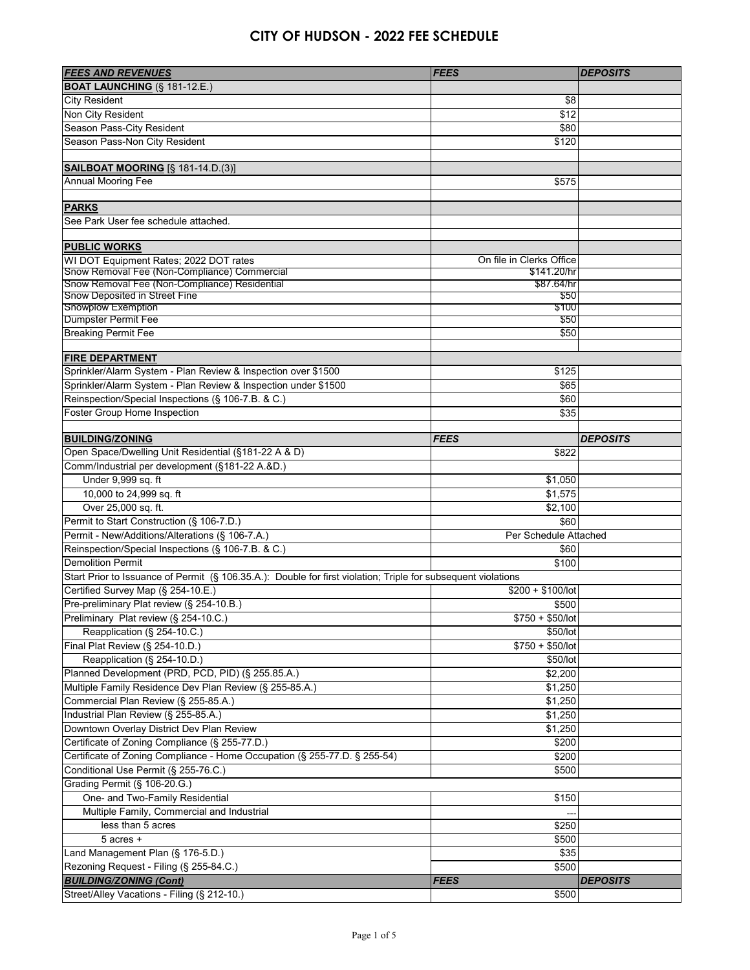| <b>FEES AND REVENUES</b>                                                                                      | <b>FEES</b>              | <b>DEPOSITS</b> |
|---------------------------------------------------------------------------------------------------------------|--------------------------|-----------------|
| <b>BOAT LAUNCHING (§ 181-12.E.)</b>                                                                           |                          |                 |
| <b>City Resident</b>                                                                                          | \$8                      |                 |
| Non City Resident                                                                                             | \$12                     |                 |
| Season Pass-City Resident                                                                                     | \$80                     |                 |
| Season Pass-Non City Resident                                                                                 | \$120                    |                 |
|                                                                                                               |                          |                 |
| <b>SAILBOAT MOORING</b> [§ 181-14.D.(3)]                                                                      |                          |                 |
| Annual Mooring Fee                                                                                            | \$575                    |                 |
|                                                                                                               |                          |                 |
| <b>PARKS</b>                                                                                                  |                          |                 |
| See Park User fee schedule attached.                                                                          |                          |                 |
|                                                                                                               |                          |                 |
| <b>PUBLIC WORKS</b>                                                                                           |                          |                 |
| WI DOT Equipment Rates; 2022 DOT rates                                                                        | On file in Clerks Office |                 |
| Snow Removal Fee (Non-Compliance) Commercial                                                                  | \$141.20/hr              |                 |
| Snow Removal Fee (Non-Compliance) Residential                                                                 | \$87.64/hr               |                 |
| Snow Deposited in Street Fine<br><b>Snowplow Exemption</b>                                                    | \$50<br>\$100            |                 |
| Dumpster Permit Fee                                                                                           | \$50                     |                 |
| <b>Breaking Permit Fee</b>                                                                                    | \$50                     |                 |
|                                                                                                               |                          |                 |
| <b>FIRE DEPARTMENT</b>                                                                                        |                          |                 |
| Sprinkler/Alarm System - Plan Review & Inspection over \$1500                                                 | \$125                    |                 |
| Sprinkler/Alarm System - Plan Review & Inspection under \$1500                                                | \$65                     |                 |
| Reinspection/Special Inspections (§ 106-7.B. & C.)                                                            | \$60                     |                 |
| Foster Group Home Inspection                                                                                  | \$35                     |                 |
|                                                                                                               |                          |                 |
| <b>BUILDING/ZONING</b>                                                                                        | <b>FEES</b>              | <b>DEPOSITS</b> |
| Open Space/Dwelling Unit Residential (§181-22 A & D)                                                          | \$822                    |                 |
| Comm/Industrial per development (§181-22 A.&D.)                                                               |                          |                 |
| Under 9,999 sq. ft                                                                                            | \$1,050                  |                 |
| 10,000 to 24,999 sq. ft                                                                                       | $\overline{$1,575}$      |                 |
| Over 25,000 sq. ft.                                                                                           | \$2,100                  |                 |
| Permit to Start Construction (§ 106-7.D.)                                                                     | \$60                     |                 |
| Permit - New/Additions/Alterations (§ 106-7.A.)                                                               | Per Schedule Attached    |                 |
| Reinspection/Special Inspections (§ 106-7.B. & C.)                                                            | \$60                     |                 |
| <b>Demolition Permit</b>                                                                                      | \$100                    |                 |
| Start Prior to Issuance of Permit (§ 106.35.A.): Double for first violation; Triple for subsequent violations |                          |                 |
| Certified Survey Map (§ 254-10.E.)                                                                            | $$200 + $100/$ lot       |                 |
| Pre-preliminary Plat review (§ 254-10.B.)                                                                     | \$500                    |                 |
| Preliminary Plat review (§ 254-10.C.)                                                                         | $$750 + $50/$ lot        |                 |
| Reapplication (§ 254-10.C.)                                                                                   | \$50/lot                 |                 |
| Final Plat Review (§ 254-10.D.)                                                                               | $$750 + $50/$ lot        |                 |
| Reapplication (§ 254-10.D.)                                                                                   | \$50/lot                 |                 |
| Planned Development (PRD, PCD, PID) (§ 255.85.A.)                                                             | \$2,200                  |                 |
| Multiple Family Residence Dev Plan Review (§ 255-85.A.)                                                       | \$1,250                  |                 |
| Commercial Plan Review (§ 255-85.A.)                                                                          |                          |                 |
| Industrial Plan Review (§ 255-85.A.)                                                                          | \$1,250<br>\$1,250       |                 |
| Downtown Overlay District Dev Plan Review                                                                     |                          |                 |
| Certificate of Zoning Compliance (§ 255-77.D.)                                                                | \$1,250                  |                 |
|                                                                                                               | \$200                    |                 |
| Certificate of Zoning Compliance - Home Occupation (§ 255-77.D. § 255-54)                                     | \$200                    |                 |
| Conditional Use Permit (§ 255-76.C.)                                                                          | \$500                    |                 |
| Grading Permit (§ 106-20.G.)                                                                                  |                          |                 |
| One- and Two-Family Residential                                                                               | \$150                    |                 |
| Multiple Family, Commercial and Industrial                                                                    |                          |                 |
| less than 5 acres                                                                                             | \$250                    |                 |
| $5$ acres $+$                                                                                                 | \$500                    |                 |
| Land Management Plan (§ 176-5.D.)                                                                             | \$35                     |                 |
| Rezoning Request - Filing (§ 255-84.C.)                                                                       | \$500                    |                 |
| <b>BUILDING/ZONING (Cont)</b>                                                                                 | <b>FEES</b>              | <b>DEPOSITS</b> |
| Street/Alley Vacations - Filing (§ 212-10.)                                                                   | \$500                    |                 |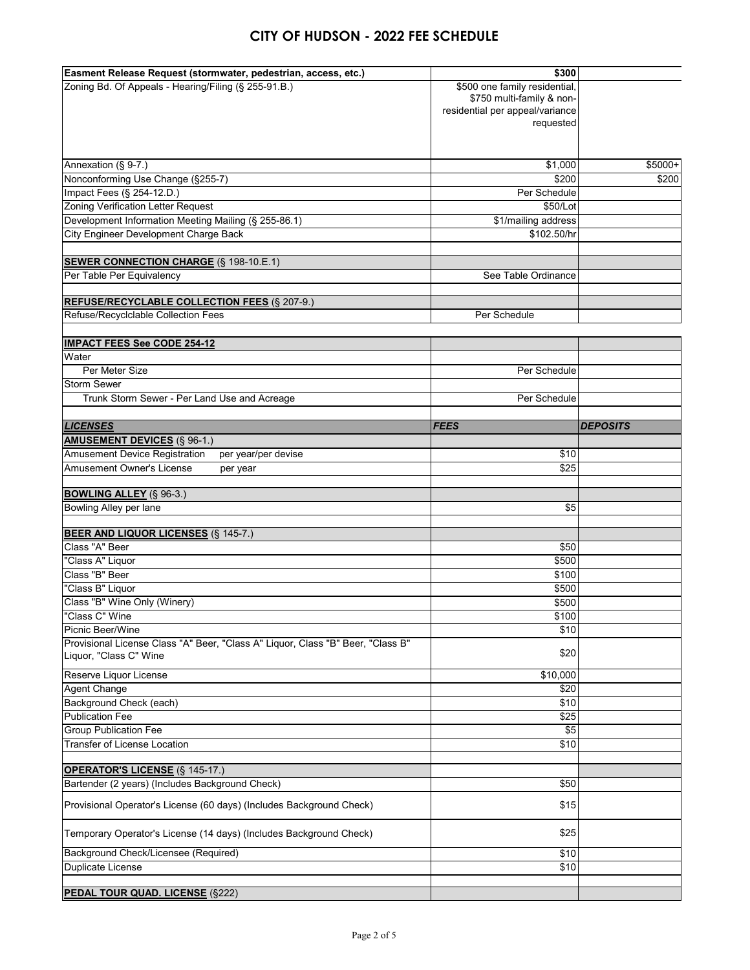| Easment Release Request (stormwater, pedestrian, access, etc.)                  | \$300                           |                 |
|---------------------------------------------------------------------------------|---------------------------------|-----------------|
| Zoning Bd. Of Appeals - Hearing/Filing (§ 255-91.B.)                            | \$500 one family residential,   |                 |
|                                                                                 | \$750 multi-family & non-       |                 |
|                                                                                 | residential per appeal/variance |                 |
|                                                                                 | requested                       |                 |
|                                                                                 |                                 |                 |
|                                                                                 |                                 |                 |
| Annexation (§ 9-7.)                                                             | \$1,000                         | \$5000+         |
| Nonconforming Use Change (§255-7)                                               | \$200                           | \$200           |
| Impact Fees (§ 254-12.D.)                                                       | Per Schedule                    |                 |
| <b>Zoning Verification Letter Request</b>                                       | \$50/Lot                        |                 |
| Development Information Meeting Mailing (§ 255-86.1)                            | \$1/mailing address             |                 |
| City Engineer Development Charge Back                                           | \$102.50/hr                     |                 |
|                                                                                 |                                 |                 |
| <b>SEWER CONNECTION CHARGE (§ 198-10.E.1)</b>                                   |                                 |                 |
| Per Table Per Equivalency                                                       | See Table Ordinance             |                 |
|                                                                                 |                                 |                 |
| <b>REFUSE/RECYCLABLE COLLECTION FEES (§ 207-9.)</b>                             |                                 |                 |
| Refuse/Recyclclable Collection Fees                                             | Per Schedule                    |                 |
|                                                                                 |                                 |                 |
| <b>IMPACT FEES See CODE 254-12</b>                                              |                                 |                 |
| Water                                                                           |                                 |                 |
| Per Meter Size                                                                  | Per Schedule                    |                 |
| <b>Storm Sewer</b>                                                              |                                 |                 |
| Trunk Storm Sewer - Per Land Use and Acreage                                    | Per Schedule                    |                 |
|                                                                                 |                                 |                 |
| <b>LICENSES</b>                                                                 | <b>FEES</b>                     | <b>DEPOSITS</b> |
| <b>AMUSEMENT DEVICES (§ 96-1.)</b>                                              |                                 |                 |
| <b>Amusement Device Registration</b><br>per year/per devise                     | \$10                            |                 |
| Amusement Owner's License                                                       | \$25                            |                 |
| per year                                                                        |                                 |                 |
| <b>BOWLING ALLEY (§ 96-3.)</b>                                                  |                                 |                 |
| Bowling Alley per lane                                                          | \$5                             |                 |
|                                                                                 |                                 |                 |
| <b>BEER AND LIQUOR LICENSES (§ 145-7.)</b>                                      |                                 |                 |
| Class "A" Beer                                                                  | \$50                            |                 |
| "Class A" Liquor                                                                | \$500                           |                 |
| Class "B" Beer                                                                  | \$100                           |                 |
| "Class B" Liquor                                                                | \$500                           |                 |
| Class "B" Wine Only (Winery)                                                    | \$500                           |                 |
| "Class C" Wine                                                                  | \$100                           |                 |
| Picnic Beer/Wine                                                                | \$10                            |                 |
| Provisional License Class "A" Beer, "Class A" Liquor, Class "B" Beer, "Class B" |                                 |                 |
| Liquor, "Class C" Wine                                                          | \$20                            |                 |
|                                                                                 |                                 |                 |
| Reserve Liquor License                                                          | \$10,000                        |                 |
| <b>Agent Change</b>                                                             | \$20                            |                 |
| Background Check (each)                                                         | \$10                            |                 |
| <b>Publication Fee</b>                                                          | \$25                            |                 |
| <b>Group Publication Fee</b>                                                    | $\sqrt[6]{5}$                   |                 |
| <b>Transfer of License Location</b>                                             | \$10                            |                 |
|                                                                                 |                                 |                 |
| <b>OPERATOR'S LICENSE (§ 145-17.)</b>                                           |                                 |                 |
| Bartender (2 years) (Includes Background Check)                                 | \$50                            |                 |
| Provisional Operator's License (60 days) (Includes Background Check)            | \$15                            |                 |
|                                                                                 |                                 |                 |
| Temporary Operator's License (14 days) (Includes Background Check)              | \$25                            |                 |
|                                                                                 |                                 |                 |
| Background Check/Licensee (Required)                                            | \$10                            |                 |
| Duplicate License                                                               |                                 |                 |
|                                                                                 | \$10                            |                 |
| <b>PEDAL TOUR QUAD. LICENSE (§222)</b>                                          |                                 |                 |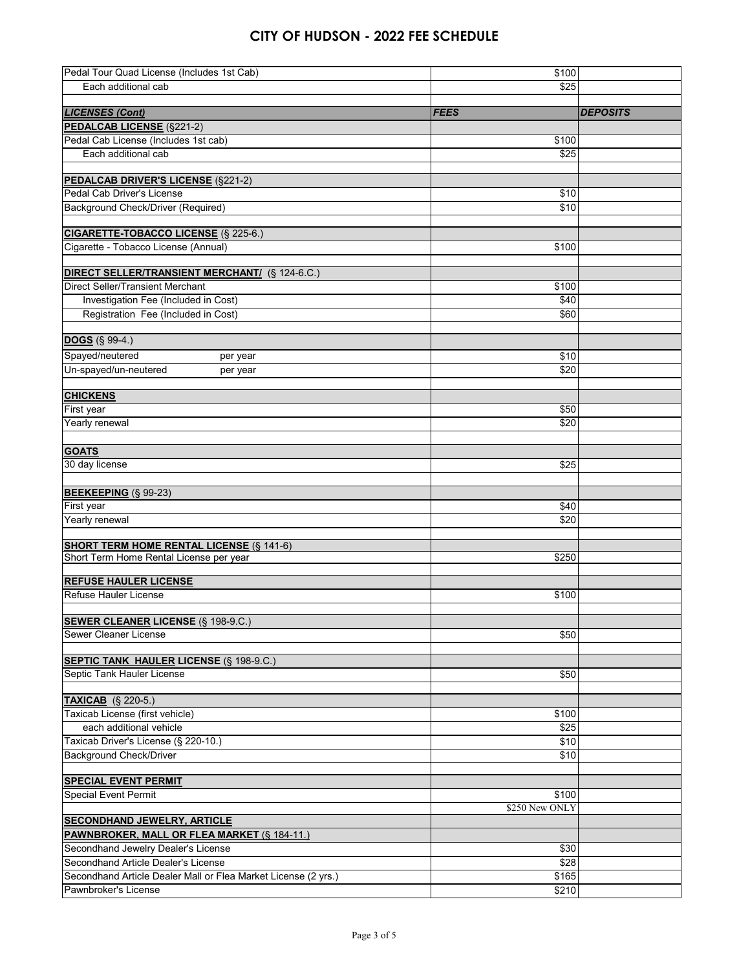| Pedal Tour Quad License (Includes 1st Cab)                     | \$100          |                 |
|----------------------------------------------------------------|----------------|-----------------|
| Each additional cab                                            | \$25           |                 |
|                                                                |                |                 |
| <b>LICENSES (Cont)</b>                                         | <b>FEES</b>    | <b>DEPOSITS</b> |
| <b>PEDALCAB LICENSE (§221-2)</b>                               |                |                 |
| Pedal Cab License (Includes 1st cab)                           | \$100          |                 |
| Each additional cab                                            | \$25           |                 |
|                                                                |                |                 |
| <b>PEDALCAB DRIVER'S LICENSE (§221-2)</b>                      |                |                 |
| Pedal Cab Driver's License                                     | \$10           |                 |
| Background Check/Driver (Required)                             | \$10           |                 |
|                                                                |                |                 |
| <b>CIGARETTE-TOBACCO LICENSE (§ 225-6.)</b>                    |                |                 |
| Cigarette - Tobacco License (Annual)                           | \$100          |                 |
|                                                                |                |                 |
| <b>DIRECT SELLER/TRANSIENT MERCHANT/ (§ 124-6.C.)</b>          |                |                 |
| <b>Direct Seller/Transient Merchant</b>                        | \$100          |                 |
| Investigation Fee (Included in Cost)                           | \$40           |                 |
| Registration Fee (Included in Cost)                            | \$60           |                 |
|                                                                |                |                 |
| <b>DOGS</b> (§ 99-4.)                                          |                |                 |
| Spayed/neutered<br>per year                                    | \$10           |                 |
| Un-spayed/un-neutered<br>per year                              | \$20           |                 |
|                                                                |                |                 |
| <b>CHICKENS</b>                                                |                |                 |
| First year                                                     | \$50           |                 |
| Yearly renewal                                                 | \$20           |                 |
|                                                                |                |                 |
| <b>GOATS</b>                                                   |                |                 |
| 30 day license                                                 | \$25           |                 |
|                                                                |                |                 |
| <b>BEEKEEPING (§ 99-23)</b>                                    |                |                 |
| First year                                                     | \$40           |                 |
| Yearly renewal                                                 | \$20           |                 |
|                                                                |                |                 |
| <b>SHORT TERM HOME RENTAL LICENSE (§ 141-6)</b>                |                |                 |
| Short Term Home Rental License per year                        | \$250          |                 |
|                                                                |                |                 |
| <b>REFUSE HAULER LICENSE</b>                                   |                |                 |
| <b>Refuse Hauler License</b>                                   | \$100          |                 |
|                                                                |                |                 |
| <b>SEWER CLEANER LICENSE (§ 198-9.C.)</b>                      |                |                 |
| Sewer Cleaner License                                          | \$50           |                 |
|                                                                |                |                 |
| <b>SEPTIC TANK HAULER LICENSE (§ 198-9.C.)</b>                 |                |                 |
| Septic Tank Hauler License                                     | \$50           |                 |
|                                                                |                |                 |
| <b>TAXICAB</b> (§ 220-5.)                                      |                |                 |
| Taxicab License (first vehicle)                                | \$100          |                 |
| each additional vehicle                                        | \$25           |                 |
| Taxicab Driver's License (§ 220-10.)                           | \$10           |                 |
| <b>Background Check/Driver</b>                                 | \$10           |                 |
|                                                                |                |                 |
| <b>SPECIAL EVENT PERMIT</b>                                    |                |                 |
| <b>Special Event Permit</b>                                    | \$100          |                 |
|                                                                | \$250 New ONLY |                 |
| <b>SECONDHAND JEWELRY, ARTICLE</b>                             |                |                 |
| PAWNBROKER, MALL OR FLEA MARKET (§ 184-11.)                    |                |                 |
| Secondhand Jewelry Dealer's License                            | \$30           |                 |
| Secondhand Article Dealer's License                            | \$28           |                 |
| Secondhand Article Dealer Mall or Flea Market License (2 yrs.) | \$165          |                 |
| Pawnbroker's License                                           | \$210          |                 |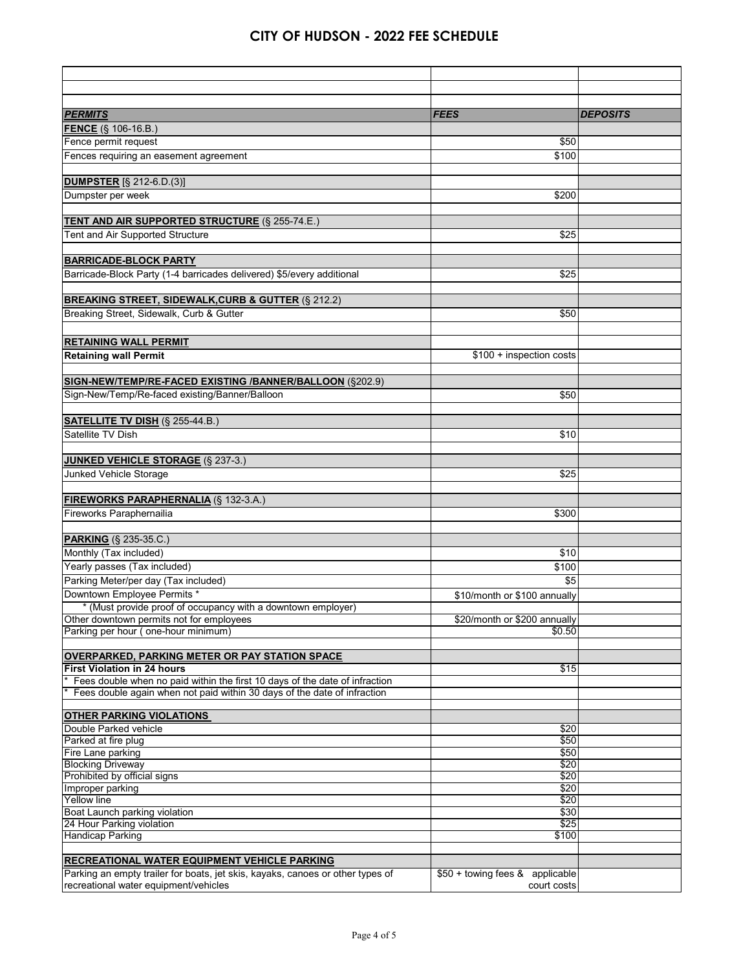| <b>PERMITS</b>                                                                              | <b>FEES</b>                     | <b>DEPOSITS</b> |
|---------------------------------------------------------------------------------------------|---------------------------------|-----------------|
| <b>FENCE</b> (§ 106-16.B.)                                                                  |                                 |                 |
| Fence permit request                                                                        | \$50                            |                 |
| Fences requiring an easement agreement                                                      | \$100                           |                 |
|                                                                                             |                                 |                 |
| <b>DUMPSTER</b> [§ 212-6.D.(3)]                                                             |                                 |                 |
| Dumpster per week                                                                           | \$200                           |                 |
|                                                                                             |                                 |                 |
| <b>TENT AND AIR SUPPORTED STRUCTURE (§ 255-74.E.)</b>                                       |                                 |                 |
| Tent and Air Supported Structure                                                            | \$25                            |                 |
|                                                                                             |                                 |                 |
| <b>BARRICADE-BLOCK PARTY</b>                                                                |                                 |                 |
| Barricade-Block Party (1-4 barricades delivered) \$5/every additional                       | \$25                            |                 |
| <b>BREAKING STREET, SIDEWALK, CURB &amp; GUTTER (§ 212.2)</b>                               |                                 |                 |
| Breaking Street, Sidewalk, Curb & Gutter                                                    | \$50                            |                 |
|                                                                                             |                                 |                 |
| <b>RETAINING WALL PERMIT</b>                                                                |                                 |                 |
| <b>Retaining wall Permit</b>                                                                | \$100 + inspection costs        |                 |
|                                                                                             |                                 |                 |
| SIGN-NEW/TEMP/RE-FACED EXISTING /BANNER/BALLOON (§202.9)                                    |                                 |                 |
| Sign-New/Temp/Re-faced existing/Banner/Balloon                                              | \$50                            |                 |
|                                                                                             |                                 |                 |
| <b>SATELLITE TV DISH (§ 255-44.B.)</b>                                                      |                                 |                 |
| Satellite TV Dish                                                                           | \$10                            |                 |
|                                                                                             |                                 |                 |
| <b>JUNKED VEHICLE STORAGE (§ 237-3.)</b>                                                    |                                 |                 |
| Junked Vehicle Storage                                                                      | \$25                            |                 |
|                                                                                             |                                 |                 |
| <b>FIREWORKS PARAPHERNALIA (§ 132-3.A.)</b><br>Fireworks Paraphernailia                     | \$300                           |                 |
|                                                                                             |                                 |                 |
| <b>PARKING</b> (§ 235-35.C.)                                                                |                                 |                 |
| Monthly (Tax included)                                                                      | \$10                            |                 |
| Yearly passes (Tax included)                                                                | \$100                           |                 |
| Parking Meter/per day (Tax included)                                                        | \$5                             |                 |
| Downtown Employee Permits *                                                                 | \$10/month or \$100 annually    |                 |
| * (Must provide proof of occupancy with a downtown employer)                                |                                 |                 |
| Other downtown permits not for employees                                                    | \$20/month or \$200 annually    |                 |
| Parking per hour (one-hour minimum)                                                         | \$0.50                          |                 |
|                                                                                             |                                 |                 |
| <b>OVERPARKED, PARKING METER OR PAY STATION SPACE</b><br><b>First Violation in 24 hours</b> | \$15                            |                 |
| Fees double when no paid within the first 10 days of the date of infraction                 |                                 |                 |
| Fees double again when not paid within 30 days of the date of infraction                    |                                 |                 |
|                                                                                             |                                 |                 |
| <b>OTHER PARKING VIOLATIONS</b>                                                             |                                 |                 |
| Double Parked vehicle<br>Parked at fire plug                                                | \$20<br>\$50                    |                 |
| Fire Lane parking                                                                           | \$50                            |                 |
| <b>Blocking Driveway</b>                                                                    | \$20                            |                 |
| Prohibited by official signs                                                                | \$20                            |                 |
| Improper parking                                                                            | \$20                            |                 |
| Yellow line<br>Boat Launch parking violation                                                | \$20<br>\$30                    |                 |
| 24 Hour Parking violation                                                                   | \$25                            |                 |
| Handicap Parking                                                                            | \$100                           |                 |
|                                                                                             |                                 |                 |
| <b>RECREATIONAL WATER EQUIPMENT VEHICLE PARKING</b>                                         |                                 |                 |
| Parking an empty trailer for boats, jet skis, kayaks, canoes or other types of              | \$50 + towing fees & applicable |                 |
| recreational water equipment/vehicles                                                       | court costs                     |                 |